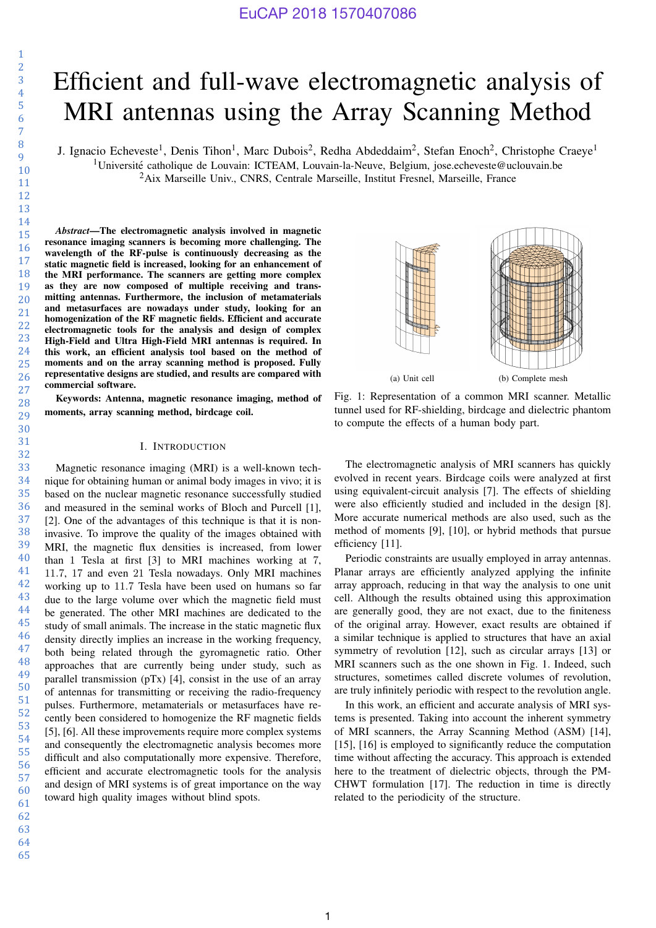# Efficient and full-wave electromagnetic analysis of MRI antennas using the Array Scanning Method

J. Ignacio Echeveste<sup>1</sup>, Denis Tihon<sup>1</sup>, Marc Dubois<sup>2</sup>, Redha Abdeddaim<sup>2</sup>, Stefan Enoch<sup>2</sup>, Christophe Craeye<sup>1</sup> <sup>1</sup>Université catholique de Louvain: ICTEAM, Louvain-la-Neuve, Belgium, jose.echeveste@uclouvain.be <sup>2</sup>Aix Marseille Univ., CNRS, Centrale Marseille, Institut Fresnel, Marseille, France

*Abstract*—The electromagnetic analysis involved in magnetic resonance imaging scanners is becoming more challenging. The wavelength of the RF-pulse is continuously decreasing as the static magnetic field is increased, looking for an enhancement of the MRI performance. The scanners are getting more complex as they are now composed of multiple receiving and transmitting antennas. Furthermore, the inclusion of metamaterials and metasurfaces are nowadays under study, looking for an homogenization of the RF magnetic fields. Efficient and accurate electromagnetic tools for the analysis and design of complex High-Field and Ultra High-Field MRI antennas is required. In this work, an efficient analysis tool based on the method of moments and on the array scanning method is proposed. Fully representative designs are studied, and results are compared with commercial software.

Keywords: Antenna, magnetic resonance imaging, method of moments, array scanning method, birdcage coil.

## I. INTRODUCTION

Magnetic resonance imaging (MRI) is a well-known technique for obtaining human or animal body images in vivo; it is based on the nuclear magnetic resonance successfully studied and measured in the seminal works of Bloch and Purcell [1], [2]. One of the advantages of this technique is that it is noninvasive. To improve the quality of the images obtained with MRI, the magnetic flux densities is increased, from lower than 1 Tesla at first [3] to MRI machines working at 7, 11.7, 17 and even 21 Tesla nowadays. Only MRI machines working up to 11.7 Tesla have been used on humans so far due to the large volume over which the magnetic field must be generated. The other MRI machines are dedicated to the study of small animals. The increase in the static magnetic flux density directly implies an increase in the working frequency, both being related through the gyromagnetic ratio. Other approaches that are currently being under study, such as parallel transmission  $(pTx)$  [4], consist in the use of an array of antennas for transmitting or receiving the radio-frequency pulses. Furthermore, metamaterials or metasurfaces have recently been considered to homogenize the RF magnetic fields [5], [6]. All these improvements require more complex systems and consequently the electromagnetic analysis becomes more difficult and also computationally more expensive. Therefore, efficient and accurate electromagnetic tools for the analysis and design of MRI systems is of great importance on the way toward high quality images without blind spots.



Fig. 1: Representation of a common MRI scanner. Metallic tunnel used for RF-shielding, birdcage and dielectric phantom to compute the effects of a human body part.

The electromagnetic analysis of MRI scanners has quickly evolved in recent years. Birdcage coils were analyzed at first using equivalent-circuit analysis [7]. The effects of shielding were also efficiently studied and included in the design [8]. More accurate numerical methods are also used, such as the method of moments [9], [10], or hybrid methods that pursue efficiency [11].

Periodic constraints are usually employed in array antennas. Planar arrays are efficiently analyzed applying the infinite array approach, reducing in that way the analysis to one unit cell. Although the results obtained using this approximation are generally good, they are not exact, due to the finiteness of the original array. However, exact results are obtained if a similar technique is applied to structures that have an axial symmetry of revolution [12], such as circular arrays [13] or MRI scanners such as the one shown in Fig. 1. Indeed, such structures, sometimes called discrete volumes of revolution, are truly infinitely periodic with respect to the revolution angle.

In this work, an efficient and accurate analysis of MRI systems is presented. Taking into account the inherent symmetry of MRI scanners, the Array Scanning Method (ASM) [14], [15], [16] is employed to significantly reduce the computation time without affecting the accuracy. This approach is extended here to the treatment of dielectric objects, through the PM-CHWT formulation [17]. The reduction in time is directly related to the periodicity of the structure.

63 64 65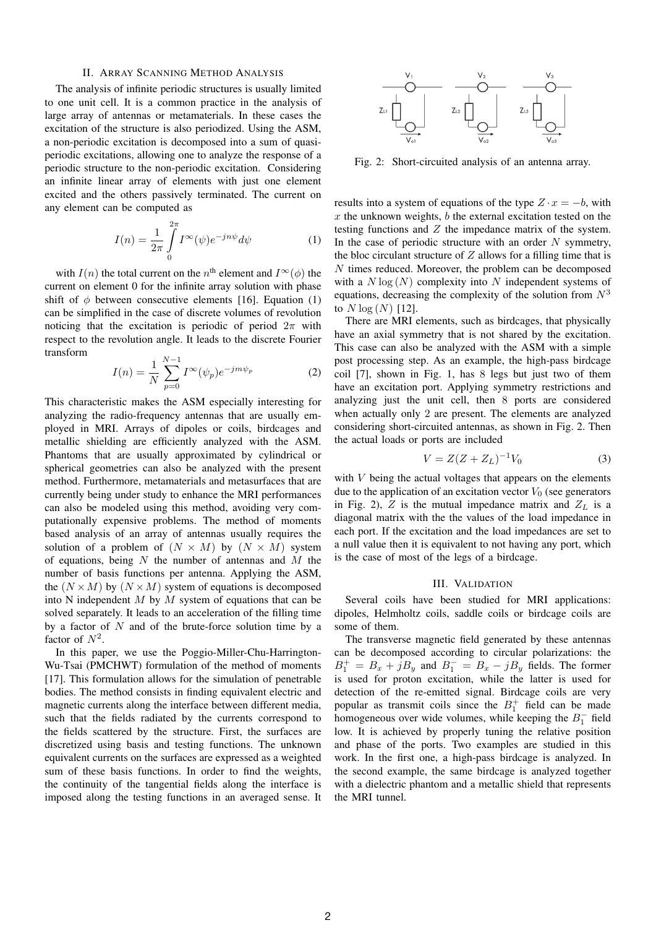#### II. ARRAY SCANNING METHOD ANALYSIS

The analysis of infinite periodic structures is usually limited to one unit cell. It is a common practice in the analysis of large array of antennas or metamaterials. In these cases the excitation of the structure is also periodized. Using the ASM, a non-periodic excitation is decomposed into a sum of quasiperiodic excitations, allowing one to analyze the response of a periodic structure to the non-periodic excitation. Considering an infinite linear array of elements with just one element excited and the others passively terminated. The current on any element can be computed as

$$
I(n) = \frac{1}{2\pi} \int_{0}^{2\pi} I^{\infty}(\psi) e^{-jn\psi} d\psi
$$
 (1)

with  $I(n)$  the total current on the  $n<sup>th</sup>$  element and  $I^{\infty}(\phi)$  the current on element 0 for the infinite array solution with phase shift of  $\phi$  between consecutive elements [16]. Equation (1) can be simplified in the case of discrete volumes of revolution noticing that the excitation is periodic of period  $2\pi$  with respect to the revolution angle. It leads to the discrete Fourier transform

$$
I(n) = \frac{1}{N} \sum_{p=0}^{N-1} I^{\infty}(\psi_p) e^{-jm\psi_p}
$$
 (2)

This characteristic makes the ASM especially interesting for analyzing the radio-frequency antennas that are usually employed in MRI. Arrays of dipoles or coils, birdcages and metallic shielding are efficiently analyzed with the ASM. Phantoms that are usually approximated by cylindrical or spherical geometries can also be analyzed with the present method. Furthermore, metamaterials and metasurfaces that are currently being under study to enhance the MRI performances can also be modeled using this method, avoiding very computationally expensive problems. The method of moments based analysis of an array of antennas usually requires the solution of a problem of  $(N \times M)$  by  $(N \times M)$  system of equations, being  $N$  the number of antennas and  $M$  the number of basis functions per antenna. Applying the ASM, the  $(N \times M)$  by  $(N \times M)$  system of equations is decomposed into N independent  $M$  by  $M$  system of equations that can be solved separately. It leads to an acceleration of the filling time by a factor of  $N$  and of the brute-force solution time by a factor of  $N^2$ .

In this paper, we use the Poggio-Miller-Chu-Harrington-Wu-Tsai (PMCHWT) formulation of the method of moments [17]. This formulation allows for the simulation of penetrable bodies. The method consists in finding equivalent electric and magnetic currents along the interface between different media, such that the fields radiated by the currents correspond to the fields scattered by the structure. First, the surfaces are discretized using basis and testing functions. The unknown equivalent currents on the surfaces are expressed as a weighted sum of these basis functions. In order to find the weights, the continuity of the tangential fields along the interface is imposed along the testing functions in an averaged sense. It



Fig. 2: Short-circuited analysis of an antenna array.

results into a system of equations of the type  $Z \cdot x = -b$ , with  $x$  the unknown weights,  $b$  the external excitation tested on the testing functions and Z the impedance matrix of the system. In the case of periodic structure with an order  $N$  symmetry, the bloc circulant structure of  $Z$  allows for a filling time that is N times reduced. Moreover, the problem can be decomposed with a  $N \log(N)$  complexity into N independent systems of equations, decreasing the complexity of the solution from  $N<sup>3</sup>$ to  $N \log (N)$  [12].

There are MRI elements, such as birdcages, that physically have an axial symmetry that is not shared by the excitation. This case can also be analyzed with the ASM with a simple post processing step. As an example, the high-pass birdcage coil [7], shown in Fig. 1, has 8 legs but just two of them have an excitation port. Applying symmetry restrictions and analyzing just the unit cell, then 8 ports are considered when actually only 2 are present. The elements are analyzed considering short-circuited antennas, as shown in Fig. 2. Then the actual loads or ports are included

$$
V = Z(Z + Z_L)^{-1} V_0 \tag{3}
$$

with  $V$  being the actual voltages that appears on the elements due to the application of an excitation vector  $V_0$  (see generators in Fig. 2),  $Z$  is the mutual impedance matrix and  $Z_L$  is a diagonal matrix with the the values of the load impedance in each port. If the excitation and the load impedances are set to a null value then it is equivalent to not having any port, which is the case of most of the legs of a birdcage.

#### III. VALIDATION

Several coils have been studied for MRI applications: dipoles, Helmholtz coils, saddle coils or birdcage coils are some of them.

The transverse magnetic field generated by these antennas can be decomposed according to circular polarizations: the  $B_1^+ = B_x + jB_y$  and  $B_1^- = B_x - jB_y$  fields. The former is used for proton excitation, while the latter is used for detection of the re-emitted signal. Birdcage coils are very popular as transmit coils since the  $B_1^+$  field can be made homogeneous over wide volumes, while keeping the  $B_1^-$  field low. It is achieved by properly tuning the relative position and phase of the ports. Two examples are studied in this work. In the first one, a high-pass birdcage is analyzed. In the second example, the same birdcage is analyzed together with a dielectric phantom and a metallic shield that represents the MRI tunnel.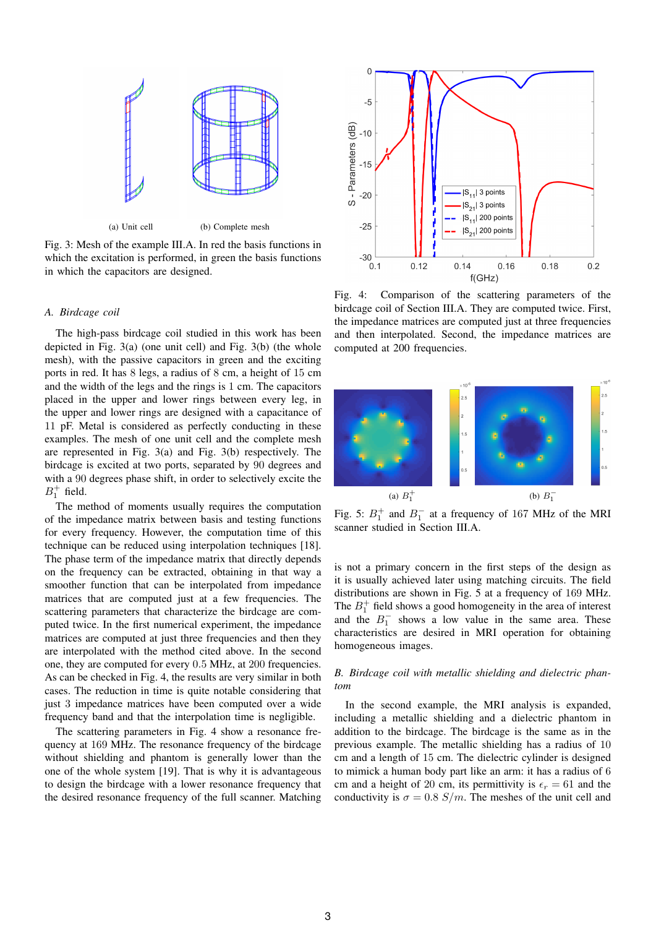

Fig. 3: Mesh of the example III.A. In red the basis functions in which the excitation is performed, in green the basis functions in which the capacitors are designed.

### *A. Birdcage coil*

The high-pass birdcage coil studied in this work has been depicted in Fig. 3(a) (one unit cell) and Fig. 3(b) (the whole mesh), with the passive capacitors in green and the exciting ports in red. It has 8 legs, a radius of 8 cm, a height of 15 cm and the width of the legs and the rings is 1 cm. The capacitors placed in the upper and lower rings between every leg, in the upper and lower rings are designed with a capacitance of 11 pF. Metal is considered as perfectly conducting in these examples. The mesh of one unit cell and the complete mesh are represented in Fig. 3(a) and Fig. 3(b) respectively. The birdcage is excited at two ports, separated by 90 degrees and with a 90 degrees phase shift, in order to selectively excite the  $B_1^+$  field.

The method of moments usually requires the computation of the impedance matrix between basis and testing functions for every frequency. However, the computation time of this technique can be reduced using interpolation techniques [18]. The phase term of the impedance matrix that directly depends on the frequency can be extracted, obtaining in that way a smoother function that can be interpolated from impedance matrices that are computed just at a few frequencies. The scattering parameters that characterize the birdcage are computed twice. In the first numerical experiment, the impedance matrices are computed at just three frequencies and then they are interpolated with the method cited above. In the second one, they are computed for every 0.5 MHz, at 200 frequencies. As can be checked in Fig. 4, the results are very similar in both cases. The reduction in time is quite notable considering that just 3 impedance matrices have been computed over a wide frequency band and that the interpolation time is negligible.

The scattering parameters in Fig. 4 show a resonance frequency at 169 MHz. The resonance frequency of the birdcage without shielding and phantom is generally lower than the one of the whole system [19]. That is why it is advantageous to design the birdcage with a lower resonance frequency that the desired resonance frequency of the full scanner. Matching



Fig. 4: Comparison of the scattering parameters of the birdcage coil of Section III.A. They are computed twice. First, the impedance matrices are computed just at three frequencies and then interpolated. Second, the impedance matrices are computed at 200 frequencies.



Fig. 5:  $B_1^+$  and  $B_1^-$  at a frequency of 167 MHz of the MRI scanner studied in Section III.A.

is not a primary concern in the first steps of the design as it is usually achieved later using matching circuits. The field distributions are shown in Fig. 5 at a frequency of 169 MHz. The  $B_1^+$  field shows a good homogeneity in the area of interest and the  $B_1^-$  shows a low value in the same area. These characteristics are desired in MRI operation for obtaining homogeneous images.

## *B. Birdcage coil with metallic shielding and dielectric phantom*

In the second example, the MRI analysis is expanded, including a metallic shielding and a dielectric phantom in addition to the birdcage. The birdcage is the same as in the previous example. The metallic shielding has a radius of 10 cm and a length of 15 cm. The dielectric cylinder is designed to mimick a human body part like an arm: it has a radius of 6 cm and a height of 20 cm, its permittivity is  $\epsilon_r = 61$  and the conductivity is  $\sigma = 0.8$  S/m. The meshes of the unit cell and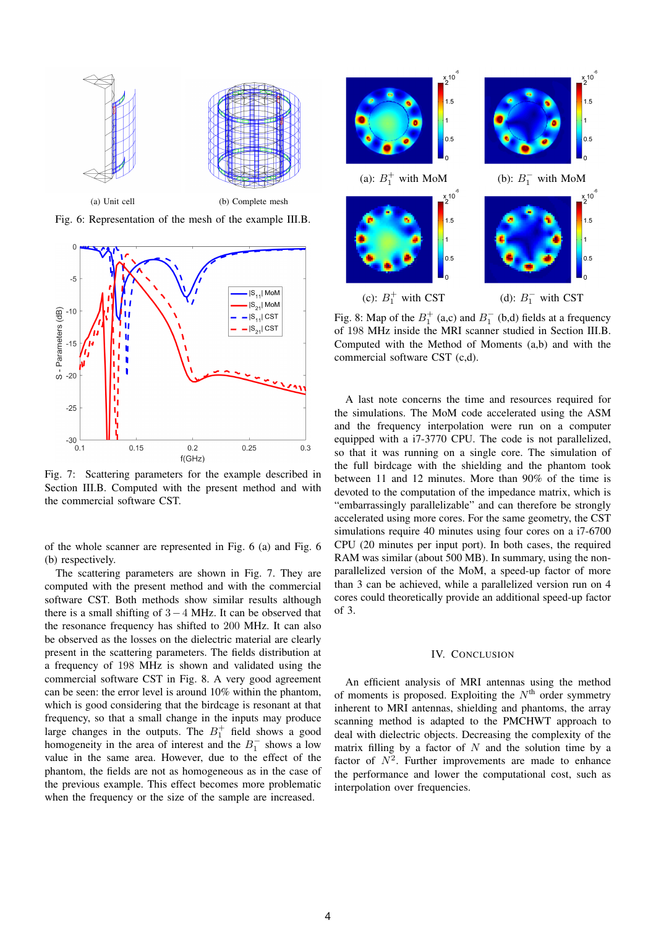

Fig. 6: Representation of the mesh of the example III.B.



Fig. 7: Scattering parameters for the example described in Section III.B. Computed with the present method and with the commercial software CST.

of the whole scanner are represented in Fig. 6 (a) and Fig. 6 (b) respectively.

The scattering parameters are shown in Fig. 7. They are computed with the present method and with the commercial software CST. Both methods show similar results although there is a small shifting of 3−4 MHz. It can be observed that the resonance frequency has shifted to 200 MHz. It can also be observed as the losses on the dielectric material are clearly present in the scattering parameters. The fields distribution at a frequency of 198 MHz is shown and validated using the commercial software CST in Fig. 8. A very good agreement can be seen: the error level is around 10% within the phantom, which is good considering that the birdcage is resonant at that frequency, so that a small change in the inputs may produce large changes in the outputs. The  $B_1^+$  field shows a good homogeneity in the area of interest and the  $B_1^-$  shows a low value in the same area. However, due to the effect of the phantom, the fields are not as homogeneous as in the case of the previous example. This effect becomes more problematic when the frequency or the size of the sample are increased.



Fig. 8: Map of the  $B_1^+$  (a,c) and  $B_1^-$  (b,d) fields at a frequency of 198 MHz inside the MRI scanner studied in Section III.B. Computed with the Method of Moments (a,b) and with the commercial software CST (c,d).

A last note concerns the time and resources required for the simulations. The MoM code accelerated using the ASM and the frequency interpolation were run on a computer equipped with a i7-3770 CPU. The code is not parallelized, so that it was running on a single core. The simulation of the full birdcage with the shielding and the phantom took between 11 and 12 minutes. More than 90% of the time is devoted to the computation of the impedance matrix, which is "embarrassingly parallelizable" and can therefore be strongly accelerated using more cores. For the same geometry, the CST simulations require 40 minutes using four cores on a i7-6700 CPU (20 minutes per input port). In both cases, the required RAM was similar (about 500 MB). In summary, using the nonparallelized version of the MoM, a speed-up factor of more than 3 can be achieved, while a parallelized version run on 4 cores could theoretically provide an additional speed-up factor of 3.

#### IV. CONCLUSION

An efficient analysis of MRI antennas using the method of moments is proposed. Exploiting the  $N<sup>th</sup>$  order symmetry inherent to MRI antennas, shielding and phantoms, the array scanning method is adapted to the PMCHWT approach to deal with dielectric objects. Decreasing the complexity of the matrix filling by a factor of  $N$  and the solution time by a factor of  $N^2$ . Further improvements are made to enhance the performance and lower the computational cost, such as interpolation over frequencies.